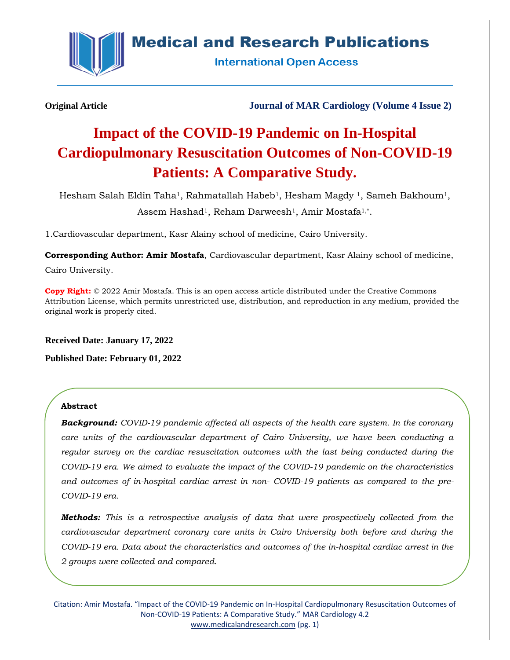

## **Medical and Research Publications**

**International Open Access** 

**Original Article Journal of MAR Cardiology (Volume 4 Issue 2)**

# **Impact of the COVID-19 Pandemic on In-Hospital Cardiopulmonary Resuscitation Outcomes of Non-COVID-19 Patients: A Comparative Study.**

Hesham Salah Eldin Taha1, Rahmatallah Habeb1, Hesham Magdy 1, Sameh Bakhoum1, Assem Hashad<sup>1</sup>, Reham Darweesh<sup>1</sup>, Amir Mostafa<sup>1,\*</sup>.

1.Cardiovascular department, Kasr Alainy school of medicine, Cairo University.

**Corresponding Author: Amir Mostafa**, Cardiovascular department, Kasr Alainy school of medicine, Cairo University.

**Copy Right:** © 2022 Amir Mostafa. This is an open access article distributed under the Creative Commons Attribution License, which permits unrestricted use, distribution, and reproduction in any medium, provided the original work is properly cited.

**Received Date: January 17, 2022 Published Date: February 01, 2022**

#### **Abstract**

*Background: COVID-19 pandemic affected all aspects of the health care system. In the coronary care units of the cardiovascular department of Cairo University, we have been conducting a regular survey on the cardiac resuscitation outcomes with the last being conducted during the COVID-19 era. We aimed to evaluate the impact of the COVID-19 pandemic on the characteristics and outcomes of in-hospital cardiac arrest in non- COVID-19 patients as compared to the pre-COVID-19 era.*

*Methods: This is a retrospective analysis of data that were prospectively collected from the cardiovascular department coronary care units in Cairo University both before and during the COVID-19 era. Data about the characteristics and outcomes of the in-hospital cardiac arrest in the 2 groups were collected and compared.*

Citation: Amir Mostafa. "Impact of the COVID-19 Pandemic on In-Hospital Cardiopulmonary Resuscitation Outcomes of Non-COVID-19 Patients: A Comparative Study." MAR Cardiology 4.2 [www.medicalandresearch.com](http://www.medicalandresearch.com/) (pg. 1)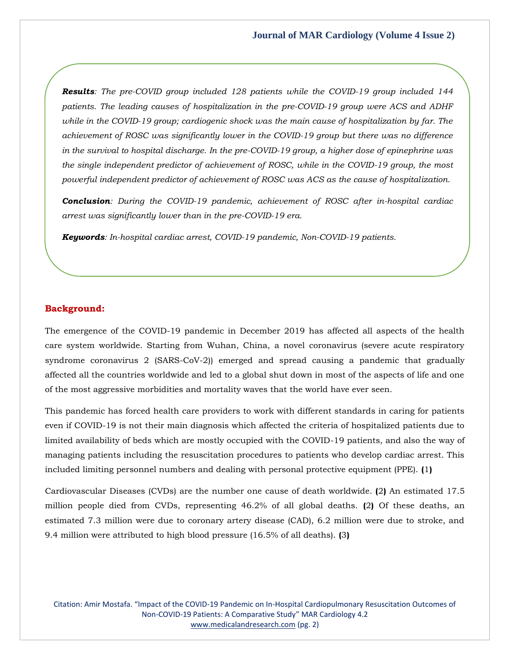*Results: The pre-COVID group included 128 patients while the COVID-19 group included 144 patients. The leading causes of hospitalization in the pre-COVID-19 group were ACS and ADHF while in the COVID-19 group; cardiogenic shock was the main cause of hospitalization by far. The achievement of ROSC was significantly lower in the COVID-19 group but there was no difference in the survival to hospital discharge. In the pre-COVID-19 group, a higher dose of epinephrine was the single independent predictor of achievement of ROSC, while in the COVID-19 group, the most powerful independent predictor of achievement of ROSC was ACS as the cause of hospitalization.*

*Conclusion: During the COVID-19 pandemic, achievement of ROSC after in-hospital cardiac arrest was significantly lower than in the pre-COVID-19 era.* 

*Keywords: In-hospital cardiac arrest, COVID-19 pandemic, Non-COVID-19 patients.*

#### **Background:**

The emergence of the COVID-19 pandemic in December 2019 has affected all aspects of the health care system worldwide. Starting from Wuhan, China, a novel coronavirus (severe acute respiratory syndrome coronavirus 2 (SARS-CoV-2)) emerged and spread causing a pandemic that gradually affected all the countries worldwide and led to a global shut down in most of the aspects of life and one of the most aggressive morbidities and mortality waves that the world have ever seen.

This pandemic has forced health care providers to work with different standards in caring for patients even if COVID-19 is not their main diagnosis which affected the criteria of hospitalized patients due to limited availability of beds which are mostly occupied with the COVID-19 patients, and also the way of managing patients including the resuscitation procedures to patients who develop cardiac arrest. This included limiting personnel numbers and dealing with personal protective equipment (PPE). **(**1**)**

Cardiovascular Diseases (CVDs) are the number one cause of death worldwide. **(**2**)** An estimated 17.5 million people died from CVDs, representing 46.2% of all global deaths. **(**2**)** Of these deaths, an estimated 7.3 million were due to coronary artery disease (CAD), 6.2 million were due to stroke, and 9.4 million were attributed to high blood pressure (16.5% of all deaths). **(**3**)**

Citation: Amir Mostafa. "Impact of the COVID-19 Pandemic on In-Hospital Cardiopulmonary Resuscitation Outcomes of Non-COVID-19 Patients: A Comparative Study" MAR Cardiology 4.2 [www.medicalandresearch.com](http://www.medicalandresearch.com/) (pg. 2)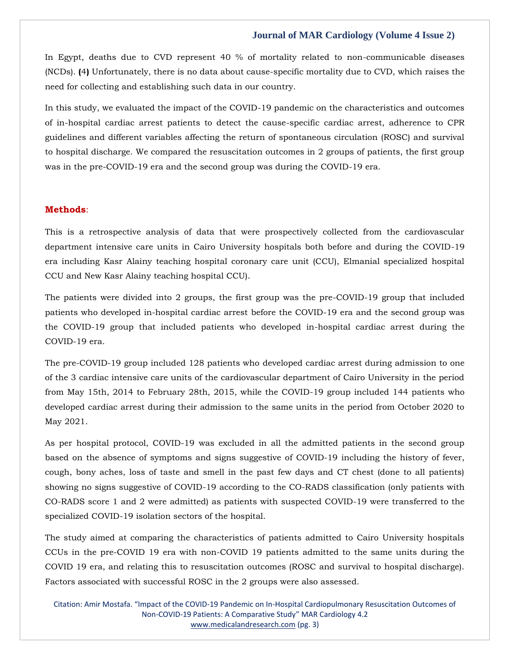In Egypt, deaths due to CVD represent 40 % of mortality related to non-communicable diseases (NCDs). **(**4**)** Unfortunately, there is no data about cause-specific mortality due to CVD, which raises the need for collecting and establishing such data in our country.

In this study, we evaluated the impact of the COVID-19 pandemic on the characteristics and outcomes of in-hospital cardiac arrest patients to detect the cause-specific cardiac arrest, adherence to CPR guidelines and different variables affecting the return of spontaneous circulation (ROSC) and survival to hospital discharge. We compared the resuscitation outcomes in 2 groups of patients, the first group was in the pre-COVID-19 era and the second group was during the COVID-19 era.

#### **Methods**:

This is a retrospective analysis of data that were prospectively collected from the cardiovascular department intensive care units in Cairo University hospitals both before and during the COVID-19 era including Kasr Alainy teaching hospital coronary care unit (CCU), Elmanial specialized hospital CCU and New Kasr Alainy teaching hospital CCU).

The patients were divided into 2 groups, the first group was the pre-COVID-19 group that included patients who developed in-hospital cardiac arrest before the COVID-19 era and the second group was the COVID-19 group that included patients who developed in-hospital cardiac arrest during the COVID-19 era.

The pre-COVID-19 group included 128 patients who developed cardiac arrest during admission to one of the 3 cardiac intensive care units of the cardiovascular department of Cairo University in the period from May 15th, 2014 to February 28th, 2015, while the COVID-19 group included 144 patients who developed cardiac arrest during their admission to the same units in the period from October 2020 to May 2021.

As per hospital protocol, COVID-19 was excluded in all the admitted patients in the second group based on the absence of symptoms and signs suggestive of COVID-19 including the history of fever, cough, bony aches, loss of taste and smell in the past few days and CT chest (done to all patients) showing no signs suggestive of COVID-19 according to the CO-RADS classification (only patients with CO-RADS score 1 and 2 were admitted) as patients with suspected COVID-19 were transferred to the specialized COVID-19 isolation sectors of the hospital.

The study aimed at comparing the characteristics of patients admitted to Cairo University hospitals CCUs in the pre-COVID 19 era with non-COVID 19 patients admitted to the same units during the COVID 19 era, and relating this to resuscitation outcomes (ROSC and survival to hospital discharge). Factors associated with successful ROSC in the 2 groups were also assessed.

Citation: Amir Mostafa. "Impact of the COVID-19 Pandemic on In-Hospital Cardiopulmonary Resuscitation Outcomes of Non-COVID-19 Patients: A Comparative Study" MAR Cardiology 4.2 [www.medicalandresearch.com](http://www.medicalandresearch.com/) (pg. 3)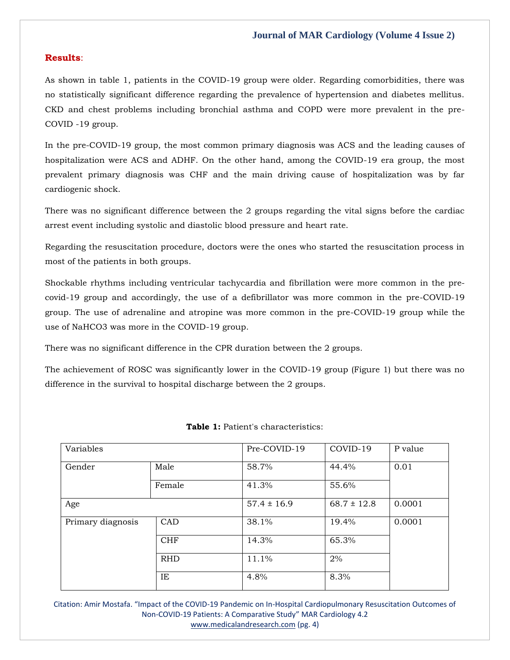#### **Results**:

As shown in table 1, patients in the COVID-19 group were older. Regarding comorbidities, there was no statistically significant difference regarding the prevalence of hypertension and diabetes mellitus. CKD and chest problems including bronchial asthma and COPD were more prevalent in the pre-COVID -19 group.

In the pre-COVID-19 group, the most common primary diagnosis was ACS and the leading causes of hospitalization were ACS and ADHF. On the other hand, among the COVID-19 era group, the most prevalent primary diagnosis was CHF and the main driving cause of hospitalization was by far cardiogenic shock.

There was no significant difference between the 2 groups regarding the vital signs before the cardiac arrest event including systolic and diastolic blood pressure and heart rate.

Regarding the resuscitation procedure, doctors were the ones who started the resuscitation process in most of the patients in both groups.

Shockable rhythms including ventricular tachycardia and fibrillation were more common in the precovid-19 group and accordingly, the use of a defibrillator was more common in the pre-COVID-19 group. The use of adrenaline and atropine was more common in the pre-COVID-19 group while the use of NaHCO3 was more in the COVID-19 group.

There was no significant difference in the CPR duration between the 2 groups.

The achievement of ROSC was significantly lower in the COVID-19 group (Figure 1) but there was no difference in the survival to hospital discharge between the 2 groups.

| Variables         |            | Pre-COVID-19    | COVID-19        | P value |
|-------------------|------------|-----------------|-----------------|---------|
| Gender            | Male       | 58.7%           | 44.4%           | 0.01    |
|                   | Female     | 41.3%           | 55.6%           |         |
| Age               |            | $57.4 \pm 16.9$ | $68.7 \pm 12.8$ | 0.0001  |
| Primary diagnosis | CAD        | 38.1%           | 19.4%           | 0.0001  |
|                   | <b>CHF</b> | 14.3%           | 65.3%           |         |
|                   | <b>RHD</b> | 11.1%           | 2%              |         |
|                   | IE         | 4.8%            | 8.3%            |         |

**Table 1:** Patient's characteristics:

Citation: Amir Mostafa. "Impact of the COVID-19 Pandemic on In-Hospital Cardiopulmonary Resuscitation Outcomes of Non-COVID-19 Patients: A Comparative Study" MAR Cardiology 4.2 [www.medicalandresearch.com](http://www.medicalandresearch.com/) (pg. 4)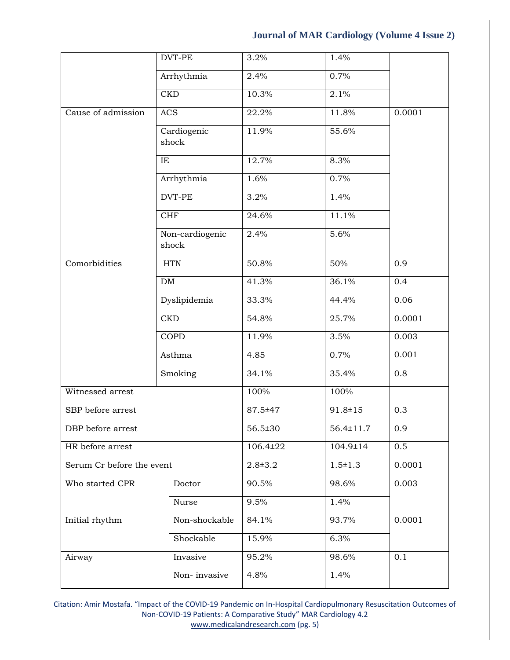|                           | DVT-PE                   | 3.2%        | 1.4%            |        |
|---------------------------|--------------------------|-------------|-----------------|--------|
|                           | Arrhythmia               | 2.4%        | 0.7%            |        |
|                           | <b>CKD</b>               | 10.3%       | 2.1%            |        |
| Cause of admission        | <b>ACS</b>               | 22.2%       | 11.8%           | 0.0001 |
|                           | Cardiogenic<br>shock     | 11.9%       | 55.6%           |        |
|                           | IE                       | 12.7%       | 8.3%            |        |
|                           | Arrhythmia               | 1.6%        | 0.7%            |        |
|                           | DVT-PE                   | 3.2%        | 1.4%            |        |
|                           | <b>CHF</b>               | 24.6%       | 11.1%           |        |
|                           | Non-cardiogenic<br>shock | 2.4%        | 5.6%            |        |
| Comorbidities             | <b>HTN</b>               | 50.8%       | 50%             | 0.9    |
|                           | ${\rm DM}$               | 41.3%       | 36.1%           | 0.4    |
|                           | Dyslipidemia             | 33.3%       | 44.4%           | 0.06   |
|                           | CKD                      | 54.8%       | 25.7%           | 0.0001 |
|                           | <b>COPD</b>              | 11.9%       | 3.5%            | 0.003  |
|                           | Asthma                   | 4.85        | 0.7%            | 0.001  |
|                           | Smoking                  | 34.1%       | 35.4%           | 0.8    |
| Witnessed arrest          |                          | 100%        | 100%            |        |
| SBP before arrest         |                          | 87.5±47     | $91.8 \pm 15$   | 0.3    |
| DBP before arrest         |                          | 56.5±30     | $56.4 \pm 11.7$ | 0.9    |
| HR before arrest          |                          | 106.4±22    | 104.9±14        | 0.5    |
| Serum Cr before the event |                          | $2.8 + 3.2$ | $1.5 \pm 1.3$   | 0.0001 |
| Who started CPR           | Doctor                   | 90.5%       | 98.6%           | 0.003  |
|                           | Nurse                    | 9.5%        | 1.4%            |        |
| Initial rhythm            | Non-shockable            | 84.1%       | 93.7%           | 0.0001 |
|                           | Shockable                | 15.9%       | 6.3%            |        |
| Airway                    | Invasive                 | 95.2%       | 98.6%           | 0.1    |
|                           | Non-invasive             | 4.8%        | 1.4%            |        |

Citation: Amir Mostafa. "Impact of the COVID-19 Pandemic on In-Hospital Cardiopulmonary Resuscitation Outcomes of Non-COVID-19 Patients: A Comparative Study" MAR Cardiology 4.2 [www.medicalandresearch.com](http://www.medicalandresearch.com/) (pg. 5)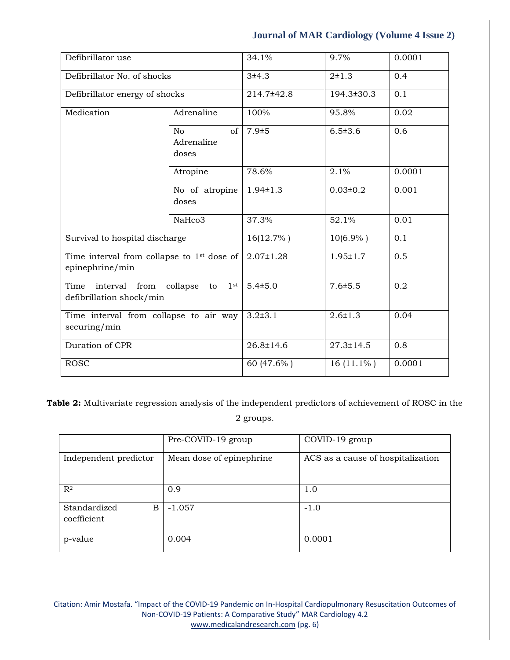| Defibrillator use                                                                         |                                               | 34.1%           | 9.7%            | 0.0001 |
|-------------------------------------------------------------------------------------------|-----------------------------------------------|-----------------|-----------------|--------|
| Defibrillator No. of shocks                                                               |                                               | 3±4.3           | $2 \pm 1.3$     | 0.4    |
| Defibrillator energy of shocks                                                            |                                               | 214.7±42.8      | 194.3±30.3      | 0.1    |
| Medication                                                                                | Adrenaline                                    | 100%            | 95.8%           | 0.02   |
|                                                                                           | of I<br>N <sub>o</sub><br>Adrenaline<br>doses | $7.9 + 5$       | $6.5 \pm 3.6$   | 0.6    |
|                                                                                           | Atropine                                      | 78.6%           | 2.1%            | 0.0001 |
|                                                                                           | No of atropine<br>doses                       | $1.94 \pm 1.3$  | $0.03 \pm 0.2$  | 0.001  |
|                                                                                           | NaHco3                                        | 37.3%           | 52.1%           | 0.01   |
| Survival to hospital discharge                                                            |                                               | 16(12.7%)       | $10(6.9\% )$    | 0.1    |
| Time interval from collapse to $1st$ dose of<br>epinephrine/min                           |                                               | $2.07 \pm 1.28$ | $1.95 \pm 1.7$  | 0.5    |
| interval<br>1 <sup>st</sup><br>Time<br>from<br>collapse<br>to<br>defibrillation shock/min |                                               | $5.4 \pm 5.0$   | $7.6 \pm 5.5$   | 0.2    |
| Time interval from collapse to air way<br>securing/min                                    |                                               | $3.2 \pm 3.1$   | $2.6 \pm 1.3$   | 0.04   |
| Duration of CPR                                                                           |                                               | $26.8 \pm 14.6$ | $27.3 \pm 14.5$ | 0.8    |
| <b>ROSC</b>                                                                               |                                               | 60 (47.6%)      | $16(11.1\%)$    | 0.0001 |

**Table 2:** Multivariate regression analysis of the independent predictors of achievement of ROSC in the 2 groups.

|                                  | Pre-COVID-19 group       | COVID-19 group                    |
|----------------------------------|--------------------------|-----------------------------------|
| Independent predictor            | Mean dose of epinephrine | ACS as a cause of hospitalization |
| $\mathbb{R}^2$                   | 0.9                      | 1.0                               |
| Standardized<br>B<br>coefficient | $-1.057$                 | $-1.0$                            |
| p-value                          | 0.004                    | 0.0001                            |

Citation: Amir Mostafa. "Impact of the COVID-19 Pandemic on In-Hospital Cardiopulmonary Resuscitation Outcomes of Non-COVID-19 Patients: A Comparative Study" MAR Cardiology 4.2 [www.medicalandresearch.com](http://www.medicalandresearch.com/) (pg. 6)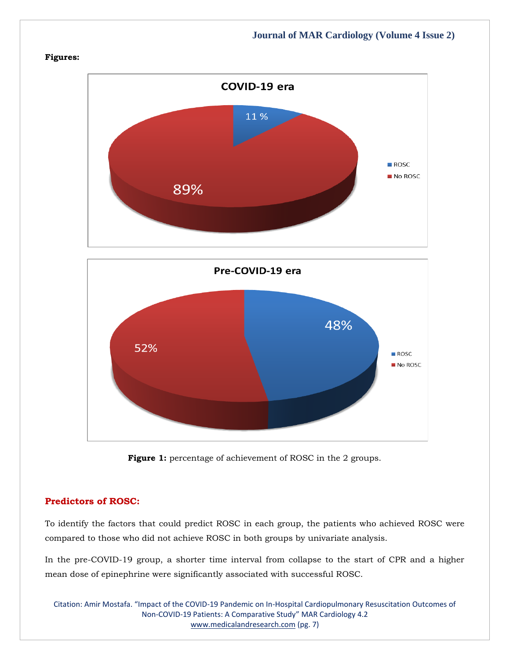#### **Figures:**





#### Figure 1: percentage of achievement of ROSC in the 2 groups.

### **Predictors of ROSC:**

To identify the factors that could predict ROSC in each group, the patients who achieved ROSC were compared to those who did not achieve ROSC in both groups by univariate analysis.

In the pre-COVID-19 group, a shorter time interval from collapse to the start of CPR and a higher mean dose of epinephrine were significantly associated with successful ROSC.

Citation: Amir Mostafa. "Impact of the COVID-19 Pandemic on In-Hospital Cardiopulmonary Resuscitation Outcomes of Non-COVID-19 Patients: A Comparative Study" MAR Cardiology 4.2 [www.medicalandresearch.com](http://www.medicalandresearch.com/) (pg. 7)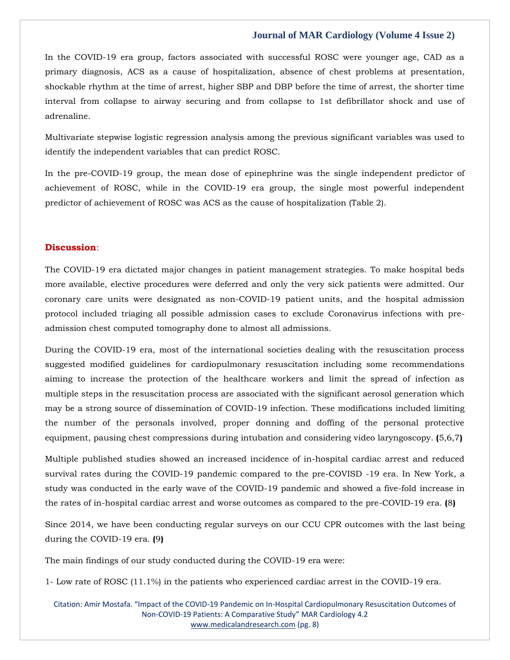In the COVID-19 era group, factors associated with successful ROSC were younger age, CAD as a primary diagnosis, ACS as a cause of hospitalization, absence of chest problems at presentation, shockable rhythm at the time of arrest, higher SBP and DBP before the time of arrest, the shorter time interval from collapse to airway securing and from collapse to 1st defibrillator shock and use of adrenaline.

Multivariate stepwise logistic regression analysis among the previous significant variables was used to identify the independent variables that can predict ROSC.

In the pre-COVID-19 group, the mean dose of epinephrine was the single independent predictor of achievement of ROSC, while in the COVID-19 era group, the single most powerful independent predictor of achievement of ROSC was ACS as the cause of hospitalization (Table 2).

#### **Discussion**:

The COVID-19 era dictated major changes in patient management strategies. To make hospital beds more available, elective procedures were deferred and only the very sick patients were admitted. Our coronary care units were designated as non-COVID-19 patient units, and the hospital admission protocol included triaging all possible admission cases to exclude Coronavirus infections with preadmission chest computed tomography done to almost all admissions.

During the COVID-19 era, most of the international societies dealing with the resuscitation process suggested modified guidelines for cardiopulmonary resuscitation including some recommendations aiming to increase the protection of the healthcare workers and limit the spread of infection as multiple steps in the resuscitation process are associated with the significant aerosol generation which may be a strong source of dissemination of COVID-19 infection. These modifications included limiting the number of the personals involved, proper donning and doffing of the personal protective equipment, pausing chest compressions during intubation and considering video laryngoscopy. **(**5,6,7**)**

Multiple published studies showed an increased incidence of in-hospital cardiac arrest and reduced survival rates during the COVID-19 pandemic compared to the pre-COVISD -19 era. In New York, a study was conducted in the early wave of the COVID-19 pandemic and showed a five-fold increase in the rates of in-hospital cardiac arrest and worse outcomes as compared to the pre-COVID-19 era. **(**8**)**

Since 2014, we have been conducting regular surveys on our CCU CPR outcomes with the last being during the COVID-19 era. **(**9**)**

The main findings of our study conducted during the COVID-19 era were:

1- Low rate of ROSC (11.1%) in the patients who experienced cardiac arrest in the COVID-19 era.

Citation: Amir Mostafa. "Impact of the COVID-19 Pandemic on In-Hospital Cardiopulmonary Resuscitation Outcomes of Non-COVID-19 Patients: A Comparative Study" MAR Cardiology 4.2 [www.medicalandresearch.com](http://www.medicalandresearch.com/) (pg. 8)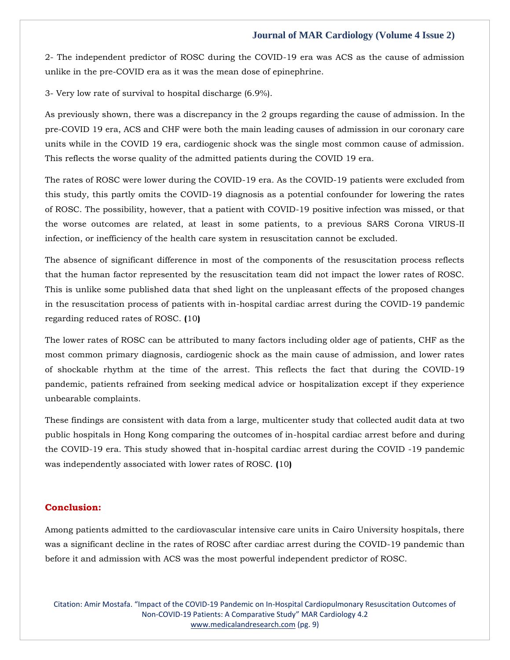2- The independent predictor of ROSC during the COVID-19 era was ACS as the cause of admission unlike in the pre-COVID era as it was the mean dose of epinephrine.

3- Very low rate of survival to hospital discharge (6.9%).

As previously shown, there was a discrepancy in the 2 groups regarding the cause of admission. In the pre-COVID 19 era, ACS and CHF were both the main leading causes of admission in our coronary care units while in the COVID 19 era, cardiogenic shock was the single most common cause of admission. This reflects the worse quality of the admitted patients during the COVID 19 era.

The rates of ROSC were lower during the COVID-19 era. As the COVID-19 patients were excluded from this study, this partly omits the COVID-19 diagnosis as a potential confounder for lowering the rates of ROSC. The possibility, however, that a patient with COVID-19 positive infection was missed, or that the worse outcomes are related, at least in some patients, to a previous SARS Corona VIRUS-II infection, or inefficiency of the health care system in resuscitation cannot be excluded.

The absence of significant difference in most of the components of the resuscitation process reflects that the human factor represented by the resuscitation team did not impact the lower rates of ROSC. This is unlike some published data that shed light on the unpleasant effects of the proposed changes in the resuscitation process of patients with in-hospital cardiac arrest during the COVID-19 pandemic regarding reduced rates of ROSC. **(**10**)**

The lower rates of ROSC can be attributed to many factors including older age of patients, CHF as the most common primary diagnosis, cardiogenic shock as the main cause of admission, and lower rates of shockable rhythm at the time of the arrest. This reflects the fact that during the COVID-19 pandemic, patients refrained from seeking medical advice or hospitalization except if they experience unbearable complaints.

These findings are consistent with data from a large, multicenter study that collected audit data at two public hospitals in Hong Kong comparing the outcomes of in-hospital cardiac arrest before and during the COVID-19 era. This study showed that in-hospital cardiac arrest during the COVID -19 pandemic was independently associated with lower rates of ROSC. **(**10**)**

#### **Conclusion:**

Among patients admitted to the cardiovascular intensive care units in Cairo University hospitals, there was a significant decline in the rates of ROSC after cardiac arrest during the COVID-19 pandemic than before it and admission with ACS was the most powerful independent predictor of ROSC.

Citation: Amir Mostafa. "Impact of the COVID-19 Pandemic on In-Hospital Cardiopulmonary Resuscitation Outcomes of Non-COVID-19 Patients: A Comparative Study" MAR Cardiology 4.2 [www.medicalandresearch.com](http://www.medicalandresearch.com/) (pg. 9)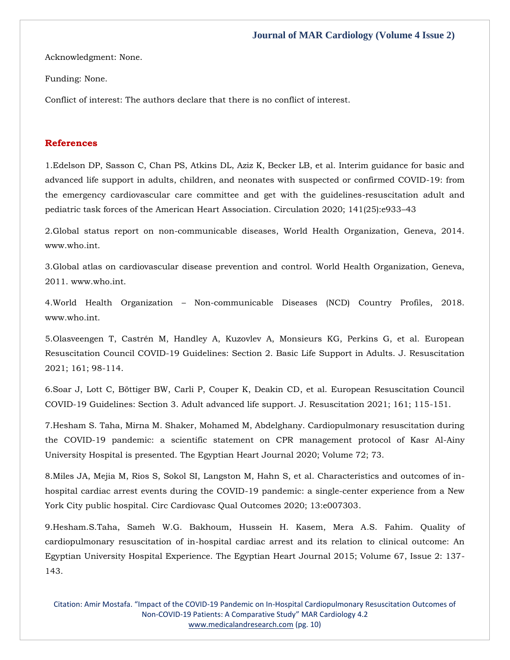Acknowledgment: None.

Funding: None.

Conflict of interest: The authors declare that there is no conflict of interest.

#### **References**

1[.Edelson DP, Sasson C, Chan PS, Atkins DL, Aziz K, Becker LB, et al. Interim guidance for basic and](https://www.google.com/search?q=Interim+guidance+for+basic+and+advanced+life+support+in+adults%2C+children%2C+and+neonates+with+suspected+or+confirmed+COVID-19%3A+from+the+emergency+cardiovascular+care+committee+and+get+with+the+guidelines-resuscitation+adult+and+pediatric+task+forces+of+the+American+Heart+Association&sxsrf=AOaemvLVAwWqnZKN72EOzmtvMxyhqNm_Aw%3A1642600095380&ei=nxboYc3OFoiRseMPv4OV2As&ved=0ahUKEwiNmsWZ-r31AhWISGwGHb9BBbsQ4dUDCA4&uact=5&oq=Interim+guidance+for+basic+and+advanced+life+support+in+adults%2C+children%2C+and+neonates+with+suspected+or+confirmed+COVID-19%3A+from+the+emergency+cardiovascular+care+committee+and+get+with+the+guidelines-resuscitation+adult+and+pediatric+task+forces+of+the+American+Heart+Association&gs_lcp=Cgdnd3Mtd2l6EAMyBwgjEOoCECcyBwgjEOoCECcyBwgjEOoCECcyBwgjEOoCECcyBwgjEOoCECcyBwgjEOoCECcyBwgjEOoCECcyBwgjEOoCECcyBwgjEOoCECcyBwgjEOoCECdKBAhBGABKBAhGGABQqwhYqwhgiAxoAXAAeACAAQCIAQCSAQCYAQCgAQGgAQKwAQrAAQE&sclient=gws-wiz)  [advanced life support in adults, children, and neonates with suspected or confirmed COVID-19: from](https://www.google.com/search?q=Interim+guidance+for+basic+and+advanced+life+support+in+adults%2C+children%2C+and+neonates+with+suspected+or+confirmed+COVID-19%3A+from+the+emergency+cardiovascular+care+committee+and+get+with+the+guidelines-resuscitation+adult+and+pediatric+task+forces+of+the+American+Heart+Association&sxsrf=AOaemvLVAwWqnZKN72EOzmtvMxyhqNm_Aw%3A1642600095380&ei=nxboYc3OFoiRseMPv4OV2As&ved=0ahUKEwiNmsWZ-r31AhWISGwGHb9BBbsQ4dUDCA4&uact=5&oq=Interim+guidance+for+basic+and+advanced+life+support+in+adults%2C+children%2C+and+neonates+with+suspected+or+confirmed+COVID-19%3A+from+the+emergency+cardiovascular+care+committee+and+get+with+the+guidelines-resuscitation+adult+and+pediatric+task+forces+of+the+American+Heart+Association&gs_lcp=Cgdnd3Mtd2l6EAMyBwgjEOoCECcyBwgjEOoCECcyBwgjEOoCECcyBwgjEOoCECcyBwgjEOoCECcyBwgjEOoCECcyBwgjEOoCECcyBwgjEOoCECcyBwgjEOoCECcyBwgjEOoCECdKBAhBGABKBAhGGABQqwhYqwhgiAxoAXAAeACAAQCIAQCSAQCYAQCgAQGgAQKwAQrAAQE&sclient=gws-wiz)  [the emergency cardiovascular care committee and get with the guidelines-resuscitation adult and](https://www.google.com/search?q=Interim+guidance+for+basic+and+advanced+life+support+in+adults%2C+children%2C+and+neonates+with+suspected+or+confirmed+COVID-19%3A+from+the+emergency+cardiovascular+care+committee+and+get+with+the+guidelines-resuscitation+adult+and+pediatric+task+forces+of+the+American+Heart+Association&sxsrf=AOaemvLVAwWqnZKN72EOzmtvMxyhqNm_Aw%3A1642600095380&ei=nxboYc3OFoiRseMPv4OV2As&ved=0ahUKEwiNmsWZ-r31AhWISGwGHb9BBbsQ4dUDCA4&uact=5&oq=Interim+guidance+for+basic+and+advanced+life+support+in+adults%2C+children%2C+and+neonates+with+suspected+or+confirmed+COVID-19%3A+from+the+emergency+cardiovascular+care+committee+and+get+with+the+guidelines-resuscitation+adult+and+pediatric+task+forces+of+the+American+Heart+Association&gs_lcp=Cgdnd3Mtd2l6EAMyBwgjEOoCECcyBwgjEOoCECcyBwgjEOoCECcyBwgjEOoCECcyBwgjEOoCECcyBwgjEOoCECcyBwgjEOoCECcyBwgjEOoCECcyBwgjEOoCECcyBwgjEOoCECdKBAhBGABKBAhGGABQqwhYqwhgiAxoAXAAeACAAQCIAQCSAQCYAQCgAQGgAQKwAQrAAQE&sclient=gws-wiz)  [pediatric task forces of the American Heart Association. Circulation 2020; 141\(25\):e933](https://www.google.com/search?q=Interim+guidance+for+basic+and+advanced+life+support+in+adults%2C+children%2C+and+neonates+with+suspected+or+confirmed+COVID-19%3A+from+the+emergency+cardiovascular+care+committee+and+get+with+the+guidelines-resuscitation+adult+and+pediatric+task+forces+of+the+American+Heart+Association&sxsrf=AOaemvLVAwWqnZKN72EOzmtvMxyhqNm_Aw%3A1642600095380&ei=nxboYc3OFoiRseMPv4OV2As&ved=0ahUKEwiNmsWZ-r31AhWISGwGHb9BBbsQ4dUDCA4&uact=5&oq=Interim+guidance+for+basic+and+advanced+life+support+in+adults%2C+children%2C+and+neonates+with+suspected+or+confirmed+COVID-19%3A+from+the+emergency+cardiovascular+care+committee+and+get+with+the+guidelines-resuscitation+adult+and+pediatric+task+forces+of+the+American+Heart+Association&gs_lcp=Cgdnd3Mtd2l6EAMyBwgjEOoCECcyBwgjEOoCECcyBwgjEOoCECcyBwgjEOoCECcyBwgjEOoCECcyBwgjEOoCECcyBwgjEOoCECcyBwgjEOoCECcyBwgjEOoCECcyBwgjEOoCECdKBAhBGABKBAhGGABQqwhYqwhgiAxoAXAAeACAAQCIAQCSAQCYAQCgAQGgAQKwAQrAAQE&sclient=gws-wiz)–43

2.Global status report on non-communicable diseases, World Health Organization, Geneva, 2014. www.who.int.

3.Global atlas on cardiovascular disease prevention and control. World Health Organization, Geneva, 2011. www.who.int.

4.World Health Organization – Non-communicable Diseases (NCD) Country Profiles, 2018. www.who.int.

5.Olasveengen T, Castré[n M, Handley A, Kuzovlev A, Monsieurs KG, Perkins G, et al. European](https://www.google.com/search?q=European+Resuscitation+Council+COVID-19+Guidelines%3A+Section+2.+Basic+Life+Support+in+Adults&sxsrf=AOaemvJSIvgSeMsZcUl8tMstzieXEz9CBg%3A1642602655077&ei=nyDoYa6jBOOk2roPkaqJ2AE&ved=0ahUKEwju7ozeg771AhVjklYBHRFVAhsQ4dUDCA4&uact=5&oq=European+Resuscitation+Council+COVID-19+Guidelines%3A+Section+2.+Basic+Life+Support+in+Adults&gs_lcp=Cgdnd3Mtd2l6EAMyBwgjEOoCECcyBwgjEOoCECcyBwgjEOoCECcyBwgjEOoCECcyBwgjEOoCECcyBwgjEOoCECcyBwgjEOoCECcyBwgjEOoCECcyBwgjEOoCECcyBwgjEOoCECdKBAhBGABKBAhGGABQlAZYlAZglwhoAXACeACAAQCIAQCSAQCYAQCgAQGgAQKwAQrAAQE&sclient=gws-wiz)  [Resuscitation Council COVID-19 Guidelines: Section 2. Basic Life Support in Adults. J. Resuscitation](https://www.google.com/search?q=European+Resuscitation+Council+COVID-19+Guidelines%3A+Section+2.+Basic+Life+Support+in+Adults&sxsrf=AOaemvJSIvgSeMsZcUl8tMstzieXEz9CBg%3A1642602655077&ei=nyDoYa6jBOOk2roPkaqJ2AE&ved=0ahUKEwju7ozeg771AhVjklYBHRFVAhsQ4dUDCA4&uact=5&oq=European+Resuscitation+Council+COVID-19+Guidelines%3A+Section+2.+Basic+Life+Support+in+Adults&gs_lcp=Cgdnd3Mtd2l6EAMyBwgjEOoCECcyBwgjEOoCECcyBwgjEOoCECcyBwgjEOoCECcyBwgjEOoCECcyBwgjEOoCECcyBwgjEOoCECcyBwgjEOoCECcyBwgjEOoCECcyBwgjEOoCECdKBAhBGABKBAhGGABQlAZYlAZglwhoAXACeACAAQCIAQCSAQCYAQCgAQGgAQKwAQrAAQE&sclient=gws-wiz)  [2021; 161; 98-114.](https://www.google.com/search?q=European+Resuscitation+Council+COVID-19+Guidelines%3A+Section+2.+Basic+Life+Support+in+Adults&sxsrf=AOaemvJSIvgSeMsZcUl8tMstzieXEz9CBg%3A1642602655077&ei=nyDoYa6jBOOk2roPkaqJ2AE&ved=0ahUKEwju7ozeg771AhVjklYBHRFVAhsQ4dUDCA4&uact=5&oq=European+Resuscitation+Council+COVID-19+Guidelines%3A+Section+2.+Basic+Life+Support+in+Adults&gs_lcp=Cgdnd3Mtd2l6EAMyBwgjEOoCECcyBwgjEOoCECcyBwgjEOoCECcyBwgjEOoCECcyBwgjEOoCECcyBwgjEOoCECcyBwgjEOoCECcyBwgjEOoCECcyBwgjEOoCECcyBwgjEOoCECdKBAhBGABKBAhGGABQlAZYlAZglwhoAXACeACAAQCIAQCSAQCYAQCgAQGgAQKwAQrAAQE&sclient=gws-wiz)

6[.Soar J, Lott C, Böttiger BW, Carli P, Couper K, Deakin CD, et al. European Resuscitation Council](https://www.google.com/search?q=European+Resuscitation+Council+COVID-19+Guidelines%3A+Section+3.+Adult+advanced+life+support&sxsrf=AOaemvIqwda9Y4EXJMF7_m_4o5E7ISEtrw%3A1642602682357&ei=uiDoYaDsFKCP2roPjqml4AE&ved=0ahUKEwigsY3rg771AhWgh1YBHY5UCRwQ4dUDCA4&uact=5&oq=European+Resuscitation+Council+COVID-19+Guidelines%3A+Section+3.+Adult+advanced+life+support&gs_lcp=Cgdnd3Mtd2l6EAM6BwgjEOoCECdKBAhBGABKBAhGGABQngZYngZgwAhoAXACeACAAbwBiAG8AZIBAzAuMZgBAKABAaABArABCsABAQ&sclient=gws-wiz)  [COVID-19 Guidelines: Section 3. Adult advanced life support. J. Resuscitation 2021; 161; 115-151.](https://www.google.com/search?q=European+Resuscitation+Council+COVID-19+Guidelines%3A+Section+3.+Adult+advanced+life+support&sxsrf=AOaemvIqwda9Y4EXJMF7_m_4o5E7ISEtrw%3A1642602682357&ei=uiDoYaDsFKCP2roPjqml4AE&ved=0ahUKEwigsY3rg771AhWgh1YBHY5UCRwQ4dUDCA4&uact=5&oq=European+Resuscitation+Council+COVID-19+Guidelines%3A+Section+3.+Adult+advanced+life+support&gs_lcp=Cgdnd3Mtd2l6EAM6BwgjEOoCECdKBAhBGABKBAhGGABQngZYngZgwAhoAXACeACAAbwBiAG8AZIBAzAuMZgBAKABAaABArABCsABAQ&sclient=gws-wiz)

7[.Hesham S. Taha, Mirna M. Shaker, Mohamed M, Abdelghany. Cardiopulmonary resuscitation during](https://www.google.com/search?q=Cardiopulmonary+resuscitation+during+the+COVID-19+pandemic%3A+a+scientific+statement+on+CPR+management+protocol+of+Kasr+Al-Ainy+University+Hospital+is+presented&sxsrf=AOaemvJn6rIHjjSS9tRFYPtuqNtMCb2UsQ%3A1642602701320&ei=zSDoYf2FE-rf2roP66CW6AE&ved=0ahUKEwi9oJP0g771AhXqr1YBHWuQBR0Q4dUDCA4&uact=5&oq=Cardiopulmonary+resuscitation+during+the+COVID-19+pandemic%3A+a+scientific+statement+on+CPR+management+protocol+of+Kasr+Al-Ainy+University+Hospital+is+presented&gs_lcp=Cgdnd3Mtd2l6EAMyBwgjEOoCECcyBwgjEOoCECcyBwgjEOoCECcyBwgjEOoCECcyBwgjEOoCECcyBwgjEOoCECcyBwgjEOoCECcyBwgjEOoCECcyBwgjEOoCECcyBwgjEOoCECdKBAhBGABKBAhGGABQxwVYxwVg3QdoAXACeACAAQCIAQCSAQCYAQCgAQGgAQKwAQrAAQE&sclient=gws-wiz)  [the COVID-19 pandemic: a scientific statement on CPR management protocol of Kasr Al-Ainy](https://www.google.com/search?q=Cardiopulmonary+resuscitation+during+the+COVID-19+pandemic%3A+a+scientific+statement+on+CPR+management+protocol+of+Kasr+Al-Ainy+University+Hospital+is+presented&sxsrf=AOaemvJn6rIHjjSS9tRFYPtuqNtMCb2UsQ%3A1642602701320&ei=zSDoYf2FE-rf2roP66CW6AE&ved=0ahUKEwi9oJP0g771AhXqr1YBHWuQBR0Q4dUDCA4&uact=5&oq=Cardiopulmonary+resuscitation+during+the+COVID-19+pandemic%3A+a+scientific+statement+on+CPR+management+protocol+of+Kasr+Al-Ainy+University+Hospital+is+presented&gs_lcp=Cgdnd3Mtd2l6EAMyBwgjEOoCECcyBwgjEOoCECcyBwgjEOoCECcyBwgjEOoCECcyBwgjEOoCECcyBwgjEOoCECcyBwgjEOoCECcyBwgjEOoCECcyBwgjEOoCECcyBwgjEOoCECdKBAhBGABKBAhGGABQxwVYxwVg3QdoAXACeACAAQCIAQCSAQCYAQCgAQGgAQKwAQrAAQE&sclient=gws-wiz)  [University Hospital is presented. The Egyptian Heart Journal 2020; Volume 72; 73.](https://www.google.com/search?q=Cardiopulmonary+resuscitation+during+the+COVID-19+pandemic%3A+a+scientific+statement+on+CPR+management+protocol+of+Kasr+Al-Ainy+University+Hospital+is+presented&sxsrf=AOaemvJn6rIHjjSS9tRFYPtuqNtMCb2UsQ%3A1642602701320&ei=zSDoYf2FE-rf2roP66CW6AE&ved=0ahUKEwi9oJP0g771AhXqr1YBHWuQBR0Q4dUDCA4&uact=5&oq=Cardiopulmonary+resuscitation+during+the+COVID-19+pandemic%3A+a+scientific+statement+on+CPR+management+protocol+of+Kasr+Al-Ainy+University+Hospital+is+presented&gs_lcp=Cgdnd3Mtd2l6EAMyBwgjEOoCECcyBwgjEOoCECcyBwgjEOoCECcyBwgjEOoCECcyBwgjEOoCECcyBwgjEOoCECcyBwgjEOoCECcyBwgjEOoCECcyBwgjEOoCECcyBwgjEOoCECdKBAhBGABKBAhGGABQxwVYxwVg3QdoAXACeACAAQCIAQCSAQCYAQCgAQGgAQKwAQrAAQE&sclient=gws-wiz)

8.Miles JA, Mejia M, Rios S, Sokol [SI, Langston M, Hahn S, et al. Characteristics and outcomes of in](https://www.google.com/search?q=Characteristics+and+outcomes+of+in-hospital+cardiac+arrest+events+during+the+COVID-19+pandemic%3A+a+single-center+experience+from+a+New+York+City+public+hospital&sxsrf=AOaemvLKUHfEX2iH-twCEcBhdGLybNaw9g%3A1642602721976&ei=4SDoYe3sOuPf2roP_aKF4AE&ved=0ahUKEwit4f_9g771AhXjr1YBHX1RARwQ4dUDCA4&uact=5&oq=Characteristics+and+outcomes+of+in-hospital+cardiac+arrest+events+during+the+COVID-19+pandemic%3A+a+single-center+experience+from+a+New+York+City+public+hospital&gs_lcp=Cgdnd3Mtd2l6EAMyBwgjEOoCECcyBwgjEOoCECcyBwgjEOoCECcyBwgjEOoCECcyBwgjEOoCECcyBwgjEOoCECcyBwgjEOoCECcyBwgjEOoCECcyBwgjEOoCECcyBwgjEOoCECdKBAhBGABKBAhGGABQuAVYuAVgtgdoAXACeACAAQCIAQCSAQCYAQCgAQGgAQKwAQrAAQE&sclient=gws-wiz)[hospital cardiac arrest events during the COVID-19 pandemic: a single-center experience from a New](https://www.google.com/search?q=Characteristics+and+outcomes+of+in-hospital+cardiac+arrest+events+during+the+COVID-19+pandemic%3A+a+single-center+experience+from+a+New+York+City+public+hospital&sxsrf=AOaemvLKUHfEX2iH-twCEcBhdGLybNaw9g%3A1642602721976&ei=4SDoYe3sOuPf2roP_aKF4AE&ved=0ahUKEwit4f_9g771AhXjr1YBHX1RARwQ4dUDCA4&uact=5&oq=Characteristics+and+outcomes+of+in-hospital+cardiac+arrest+events+during+the+COVID-19+pandemic%3A+a+single-center+experience+from+a+New+York+City+public+hospital&gs_lcp=Cgdnd3Mtd2l6EAMyBwgjEOoCECcyBwgjEOoCECcyBwgjEOoCECcyBwgjEOoCECcyBwgjEOoCECcyBwgjEOoCECcyBwgjEOoCECcyBwgjEOoCECcyBwgjEOoCECcyBwgjEOoCECdKBAhBGABKBAhGGABQuAVYuAVgtgdoAXACeACAAQCIAQCSAQCYAQCgAQGgAQKwAQrAAQE&sclient=gws-wiz)  [York City public hospital. Circ Cardiovasc Qual Outcomes 2020; 13:e007303.](https://www.google.com/search?q=Characteristics+and+outcomes+of+in-hospital+cardiac+arrest+events+during+the+COVID-19+pandemic%3A+a+single-center+experience+from+a+New+York+City+public+hospital&sxsrf=AOaemvLKUHfEX2iH-twCEcBhdGLybNaw9g%3A1642602721976&ei=4SDoYe3sOuPf2roP_aKF4AE&ved=0ahUKEwit4f_9g771AhXjr1YBHX1RARwQ4dUDCA4&uact=5&oq=Characteristics+and+outcomes+of+in-hospital+cardiac+arrest+events+during+the+COVID-19+pandemic%3A+a+single-center+experience+from+a+New+York+City+public+hospital&gs_lcp=Cgdnd3Mtd2l6EAMyBwgjEOoCECcyBwgjEOoCECcyBwgjEOoCECcyBwgjEOoCECcyBwgjEOoCECcyBwgjEOoCECcyBwgjEOoCECcyBwgjEOoCECcyBwgjEOoCECcyBwgjEOoCECdKBAhBGABKBAhGGABQuAVYuAVgtgdoAXACeACAAQCIAQCSAQCYAQCgAQGgAQKwAQrAAQE&sclient=gws-wiz)

9[.Hesham.S.Taha, Sameh W.G. Bakhoum, Hussein H. Kasem, Mera A.S. Fahim. Quality of](https://www.google.com/search?q=Quality+of+cardiopulmonary+resuscitation+of+in-hospital+cardiac+arrest+and+its+relation+to+clinical+outcome%3A+An+Egyptian+University+Hospital+Experience&sxsrf=AOaemvKt3WLWddhTDqyFwvEJU0u2AxpGOQ%3A1642602746933&ei=-iDoYeK_OPGi2roP4fud6AE&ved=0ahUKEwjipPOJhL71AhVxkVYBHeF9Bx0Q4dUDCA4&uact=5&oq=Quality+of+cardiopulmonary+resuscitation+of+in-hospital+cardiac+arrest+and+its+relation+to+clinical+outcome%3A+An+Egyptian+University+Hospital+Experience&gs_lcp=Cgdnd3Mtd2l6EAMyBwgjEOoCECcyBwgjEOoCECcyBwgjEOoCECcyBwgjEOoCECcyBwgjEOoCECcyBwgjEOoCECcyBwgjEOoCECcyBwgjEOoCECcyBwgjEOoCECcyBwgjEOoCECdKBAhBGABKBAhGGABQwwlYwwlg7gtoAXAAeACAAQCIAQCSAQCYAQCgAQGgAQKwAQrAAQE&sclient=gws-wiz)  [cardiopulmonary resuscitation of in-hospital cardiac arrest and its relation to clinical outcome: An](https://www.google.com/search?q=Quality+of+cardiopulmonary+resuscitation+of+in-hospital+cardiac+arrest+and+its+relation+to+clinical+outcome%3A+An+Egyptian+University+Hospital+Experience&sxsrf=AOaemvKt3WLWddhTDqyFwvEJU0u2AxpGOQ%3A1642602746933&ei=-iDoYeK_OPGi2roP4fud6AE&ved=0ahUKEwjipPOJhL71AhVxkVYBHeF9Bx0Q4dUDCA4&uact=5&oq=Quality+of+cardiopulmonary+resuscitation+of+in-hospital+cardiac+arrest+and+its+relation+to+clinical+outcome%3A+An+Egyptian+University+Hospital+Experience&gs_lcp=Cgdnd3Mtd2l6EAMyBwgjEOoCECcyBwgjEOoCECcyBwgjEOoCECcyBwgjEOoCECcyBwgjEOoCECcyBwgjEOoCECcyBwgjEOoCECcyBwgjEOoCECcyBwgjEOoCECcyBwgjEOoCECdKBAhBGABKBAhGGABQwwlYwwlg7gtoAXAAeACAAQCIAQCSAQCYAQCgAQGgAQKwAQrAAQE&sclient=gws-wiz)  [Egyptian University Hospital Experience. The Egyptian Heart Journal 2015; Volume 67, Issue 2: 137-](https://www.google.com/search?q=Quality+of+cardiopulmonary+resuscitation+of+in-hospital+cardiac+arrest+and+its+relation+to+clinical+outcome%3A+An+Egyptian+University+Hospital+Experience&sxsrf=AOaemvKt3WLWddhTDqyFwvEJU0u2AxpGOQ%3A1642602746933&ei=-iDoYeK_OPGi2roP4fud6AE&ved=0ahUKEwjipPOJhL71AhVxkVYBHeF9Bx0Q4dUDCA4&uact=5&oq=Quality+of+cardiopulmonary+resuscitation+of+in-hospital+cardiac+arrest+and+its+relation+to+clinical+outcome%3A+An+Egyptian+University+Hospital+Experience&gs_lcp=Cgdnd3Mtd2l6EAMyBwgjEOoCECcyBwgjEOoCECcyBwgjEOoCECcyBwgjEOoCECcyBwgjEOoCECcyBwgjEOoCECcyBwgjEOoCECcyBwgjEOoCECcyBwgjEOoCECcyBwgjEOoCECdKBAhBGABKBAhGGABQwwlYwwlg7gtoAXAAeACAAQCIAQCSAQCYAQCgAQGgAQKwAQrAAQE&sclient=gws-wiz) [143.](https://www.google.com/search?q=Quality+of+cardiopulmonary+resuscitation+of+in-hospital+cardiac+arrest+and+its+relation+to+clinical+outcome%3A+An+Egyptian+University+Hospital+Experience&sxsrf=AOaemvKt3WLWddhTDqyFwvEJU0u2AxpGOQ%3A1642602746933&ei=-iDoYeK_OPGi2roP4fud6AE&ved=0ahUKEwjipPOJhL71AhVxkVYBHeF9Bx0Q4dUDCA4&uact=5&oq=Quality+of+cardiopulmonary+resuscitation+of+in-hospital+cardiac+arrest+and+its+relation+to+clinical+outcome%3A+An+Egyptian+University+Hospital+Experience&gs_lcp=Cgdnd3Mtd2l6EAMyBwgjEOoCECcyBwgjEOoCECcyBwgjEOoCECcyBwgjEOoCECcyBwgjEOoCECcyBwgjEOoCECcyBwgjEOoCECcyBwgjEOoCECcyBwgjEOoCECcyBwgjEOoCECdKBAhBGABKBAhGGABQwwlYwwlg7gtoAXAAeACAAQCIAQCSAQCYAQCgAQGgAQKwAQrAAQE&sclient=gws-wiz)

Citation: Amir Mostafa. "Impact of the COVID-19 Pandemic on In-Hospital Cardiopulmonary Resuscitation Outcomes of Non-COVID-19 Patients: A Comparative Study" MAR Cardiology 4.2 [www.medicalandresearch.com](http://www.medicalandresearch.com/) (pg. 10)